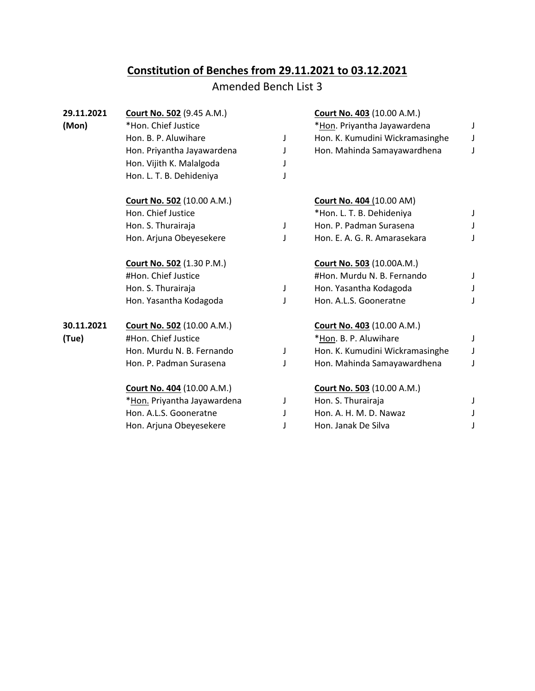## **Constitution of Benches from 29.11.2021 to 03.12.2021**

## Amended Bench List 3

| 29.11.2021 | <b>Court No. 502 (9.45 A.M.)</b>  |   | Court No. 403 (10.00 A.M.)        |   |
|------------|-----------------------------------|---|-----------------------------------|---|
| (Mon)      | *Hon. Chief Justice               |   | *Hon. Priyantha Jayawardena       | J |
|            | Hon. B. P. Aluwihare              | J | Hon. K. Kumudini Wickramasinghe   | J |
|            | Hon. Priyantha Jayawardena        | J | Hon. Mahinda Samayawardhena       | J |
|            | Hon. Vijith K. Malalgoda          | J |                                   |   |
|            | Hon. L. T. B. Dehideniya          | J |                                   |   |
|            | <b>Court No. 502 (10.00 A.M.)</b> |   | <b>Court No. 404 (10.00 AM)</b>   |   |
|            | Hon. Chief Justice                |   | *Hon. L. T. B. Dehideniya         | J |
|            | Hon. S. Thurairaja                | J | Hon. P. Padman Surasena           | J |
|            | Hon. Arjuna Obeyesekere           | T | Hon. E. A. G. R. Amarasekara      | J |
|            | <b>Court No. 502 (1.30 P.M.)</b>  |   | <b>Court No. 503 (10.00A.M.)</b>  |   |
|            | #Hon. Chief Justice               |   | #Hon. Murdu N. B. Fernando        |   |
|            | Hon. S. Thurairaja                | J | Hon. Yasantha Kodagoda            | J |
|            | Hon. Yasantha Kodagoda            | J | Hon. A.L.S. Gooneratne            | J |
| 30.11.2021 | <b>Court No. 502 (10.00 A.M.)</b> |   | <b>Court No. 403 (10.00 A.M.)</b> |   |
| (Tue)      | #Hon. Chief Justice               |   | *Hon. B. P. Aluwihare             | J |
|            | Hon. Murdu N. B. Fernando         | J | Hon. K. Kumudini Wickramasinghe   | J |
|            | Hon. P. Padman Surasena           | J | Hon. Mahinda Samayawardhena       | J |
|            | <b>Court No. 404</b> (10.00 A.M.) |   | <b>Court No. 503 (10.00 A.M.)</b> |   |
|            | *Hon. Priyantha Jayawardena       | J | Hon. S. Thurairaja                |   |
|            | Hon. A.L.S. Gooneratne            | J | Hon. A. H. M. D. Nawaz            |   |
|            | Hon. Arjuna Obeyesekere           |   | Hon. Janak De Silva               | J |